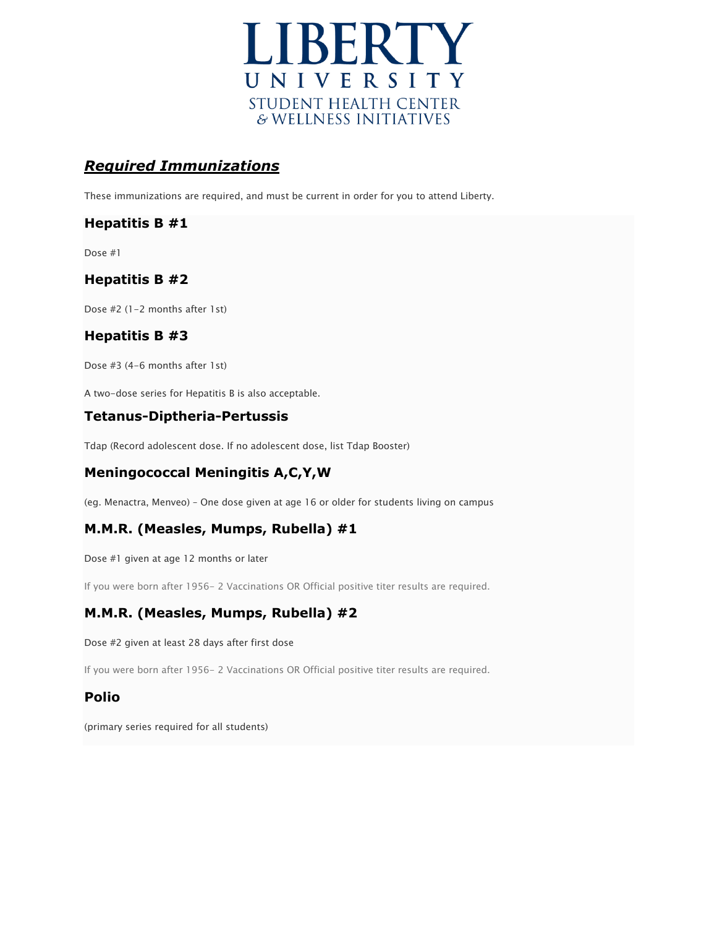

# *Required Immunizations*

These immunizations are required, and must be current in order for you to attend Liberty.

## **Hepatitis B #1**

Dose #1

## **Hepatitis B #2**

Dose #2 (1-2 months after 1st)

## **Hepatitis B #3**

Dose #3 (4-6 months after 1st)

A two-dose series for Hepatitis B is also acceptable.

## **Tetanus-Diptheria-Pertussis**

Tdap (Record adolescent dose. If no adolescent dose, list Tdap Booster)

## **Meningococcal Meningitis A,C,Y,W**

(eg. Menactra, Menveo) – One dose given at age 16 or older for students living on campus

# **M.M.R. (Measles, Mumps, Rubella) #1**

Dose #1 given at age 12 months or later

If you were born after 1956- 2 Vaccinations OR Official positive titer results are required.

# **M.M.R. (Measles, Mumps, Rubella) #2**

Dose #2 given at least 28 days after first dose

If you were born after 1956- 2 Vaccinations OR Official positive titer results are required.

#### **Polio**

(primary series required for all students)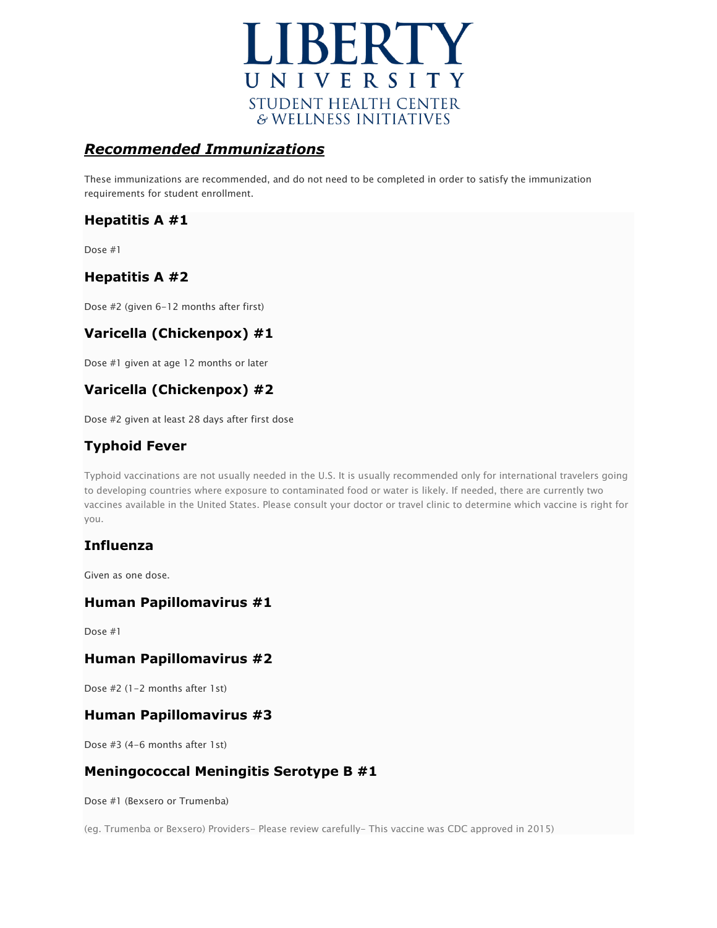

# *Recommended Immunizations*

These immunizations are recommended, and do not need to be completed in order to satisfy the immunization requirements for student enrollment.

# **Hepatitis A #1**

Dose #1

# **Hepatitis A #2**

Dose #2 (given 6-12 months after first)

# **Varicella (Chickenpox) #1**

Dose #1 given at age 12 months or later

# **Varicella (Chickenpox) #2**

Dose #2 given at least 28 days after first dose

# **Typhoid Fever**

Typhoid vaccinations are not usually needed in the U.S. It is usually recommended only for international travelers going to developing countries where exposure to contaminated food or water is likely. If needed, there are currently two vaccines available in the United States. Please consult your doctor or travel clinic to determine which vaccine is right for you.

## **Influenza**

Given as one dose.

#### **Human Papillomavirus #1**

Dose #1

#### **Human Papillomavirus #2**

Dose #2 (1-2 months after 1st)

## **Human Papillomavirus #3**

Dose #3 (4-6 months after 1st)

## **Meningococcal Meningitis Serotype B #1**

Dose #1 (Bexsero or Trumenba)

(eg. Trumenba or Bexsero) Providers- Please review carefully- This vaccine was CDC approved in 2015)